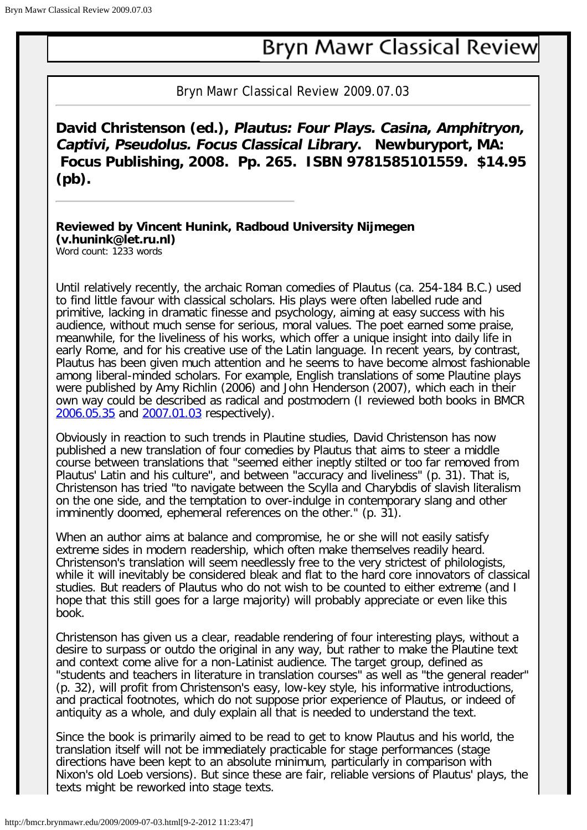## **Bryn Mawr Classical Review**

Bryn Mawr Classical Review 2009.07.03

**David Christenson (ed.), Plautus: Four Plays. Casina, Amphitryon, Captivi, Pseudolus. Focus Classical Library. Newburyport, MA: Focus Publishing, 2008. Pp. 265. ISBN 9781585101559. \$14.95 (pb).** 

**Reviewed by Vincent Hunink, Radboud University Nijmegen (v.hunink@let.ru.nl)** Word count: 1233 words

Until relatively recently, the archaic Roman comedies of Plautus (ca. 254-184 B.C.) used to find little favour with classical scholars. His plays were often labelled rude and primitive, lacking in dramatic finesse and psychology, aiming at easy success with his audience, without much sense for serious, moral values. The poet earned some praise, meanwhile, for the liveliness of his works, which offer a unique insight into daily life in early Rome, and for his creative use of the Latin language. In recent years, by contrast, Plautus has been given much attention and he seems to have become almost fashionable among liberal-minded scholars. For example, English translations of some Plautine plays were published by Amy Richlin (2006) and John Henderson (2007), which each in their own way could be described as radical and postmodern (I reviewed both books in BMCR [2006.05.35](http://bmcr.brynmawr.edu/2006/2006-05-35.html) and [2007.01.03](http://bmcr.brynmawr.edu/2007/2007-01-03.html) respectively).

Obviously in reaction to such trends in Plautine studies, David Christenson has now published a new translation of four comedies by Plautus that aims to steer a middle course between translations that "seemed either ineptly stilted or too far removed from Plautus' Latin and his culture", and between "accuracy and liveliness" (p. 31). That is, Christenson has tried "to navigate between the Scylla and Charybdis of slavish literalism on the one side, and the temptation to over-indulge in contemporary slang and other imminently doomed, ephemeral references on the other." (p. 31).

When an author aims at balance and compromise, he or she will not easily satisfy extreme sides in modern readership, which often make themselves readily heard. Christenson's translation will seem needlessly free to the very strictest of philologists, while it will inevitably be considered bleak and flat to the hard core innovators of classical studies. But readers of Plautus who do not wish to be counted to either extreme (and I hope that this still goes for a large majority) will probably appreciate or even like this book.

Christenson has given us a clear, readable rendering of four interesting plays, without a desire to surpass or outdo the original in any way, but rather to make the Plautine text and context come alive for a non-Latinist audience. The target group, defined as "students and teachers in literature in translation courses" as well as "the general reader" (p. 32), will profit from Christenson's easy, low-key style, his informative introductions, and practical footnotes, which do not suppose prior experience of Plautus, or indeed of antiquity as a whole, and duly explain all that is needed to understand the text.

Since the book is primarily aimed to be read to get to know Plautus and his world, the translation itself will not be immediately practicable for stage performances (stage directions have been kept to an absolute minimum, particularly in comparison with Nixon's old Loeb versions). But since these are fair, reliable versions of Plautus' plays, the texts might be reworked into stage texts.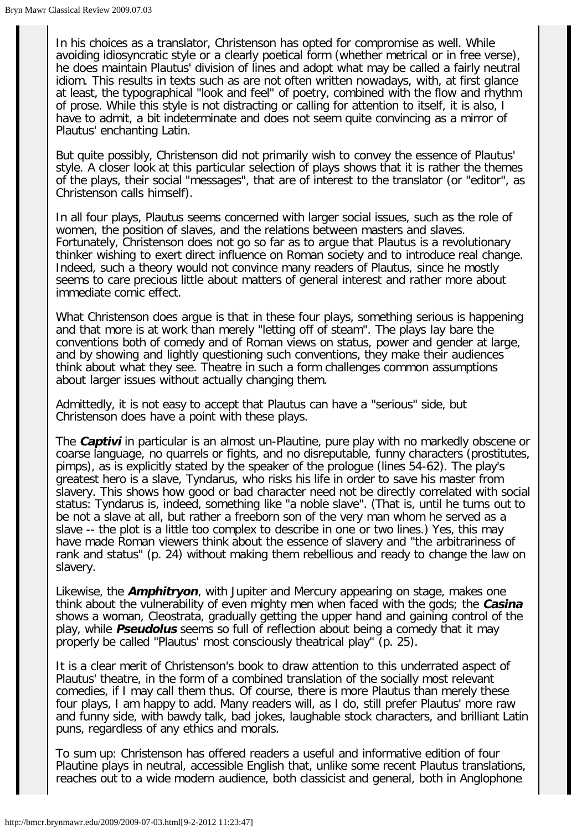In his choices as a translator, Christenson has opted for compromise as well. While avoiding idiosyncratic style or a clearly poetical form (whether metrical or in free verse), he does maintain Plautus' division of lines and adopt what may be called a fairly neutral idiom. This results in texts such as are not often written nowadays, with, at first glance at least, the typographical "look and feel" of poetry, combined with the flow and rhythm of prose. While this style is not distracting or calling for attention to itself, it is also, I have to admit, a bit indeterminate and does not seem quite convincing as a mirror of Plautus' enchanting Latin.

But quite possibly, Christenson did not primarily wish to convey the essence of Plautus' style. A closer look at this particular selection of plays shows that it is rather the themes of the plays, their social "messages", that are of interest to the translator (or "editor", as Christenson calls himself).

In all four plays, Plautus seems concerned with larger social issues, such as the role of women, the position of slaves, and the relations between masters and slaves. Fortunately, Christenson does not go so far as to argue that Plautus is a revolutionary thinker wishing to exert direct influence on Roman society and to introduce real change. Indeed, such a theory would not convince many readers of Plautus, since he mostly seems to care precious little about matters of general interest and rather more about immediate comic effect.

What Christenson does argue is that in these four plays, something serious is happening and that more is at work than merely "letting off of steam". The plays lay bare the conventions both of comedy and of Roman views on status, power and gender at large, and by showing and lightly questioning such conventions, they make their audiences think about what they see. Theatre in such a form challenges common assumptions about larger issues without actually changing them.

Admittedly, it is not easy to accept that Plautus can have a "serious" side, but Christenson does have a point with these plays.

The **Captivi** in particular is an almost un-Plautine, pure play with no markedly obscene or coarse language, no quarrels or fights, and no disreputable, funny characters (prostitutes, pimps), as is explicitly stated by the speaker of the prologue (lines 54-62). The play's greatest hero is a slave, Tyndarus, who risks his life in order to save his master from slavery. This shows how good or bad character need not be directly correlated with social status: Tyndarus is, indeed, something like "a noble slave". (That is, until he turns out to be not a slave at all, but rather a freeborn son of the very man whom he served as a slave -- the plot is a little too complex to describe in one or two lines.) Yes, this may have made Roman viewers think about the essence of slavery and "the arbitrariness of rank and status" (p. 24) without making them rebellious and ready to change the law on slavery.

Likewise, the **Amphitryon**, with Jupiter and Mercury appearing on stage, makes one think about the vulnerability of even mighty men when faced with the gods; the **Casina** shows a woman, Cleostrata, gradually getting the upper hand and gaining control of the play, while **Pseudolus** seems so full of reflection about being a comedy that it may properly be called "Plautus' most consciously theatrical play" (p. 25).

It is a clear merit of Christenson's book to draw attention to this underrated aspect of Plautus' theatre, in the form of a combined translation of the socially most relevant comedies, if I may call them thus. Of course, there is more Plautus than merely these four plays, I am happy to add. Many readers will, as I do, still prefer Plautus' more raw and funny side, with bawdy talk, bad jokes, laughable stock characters, and brilliant Latin puns, regardless of any ethics and morals.

To sum up: Christenson has offered readers a useful and informative edition of four Plautine plays in neutral, accessible English that, unlike some recent Plautus translations, reaches out to a wide modern audience, both classicist and general, both in Anglophone